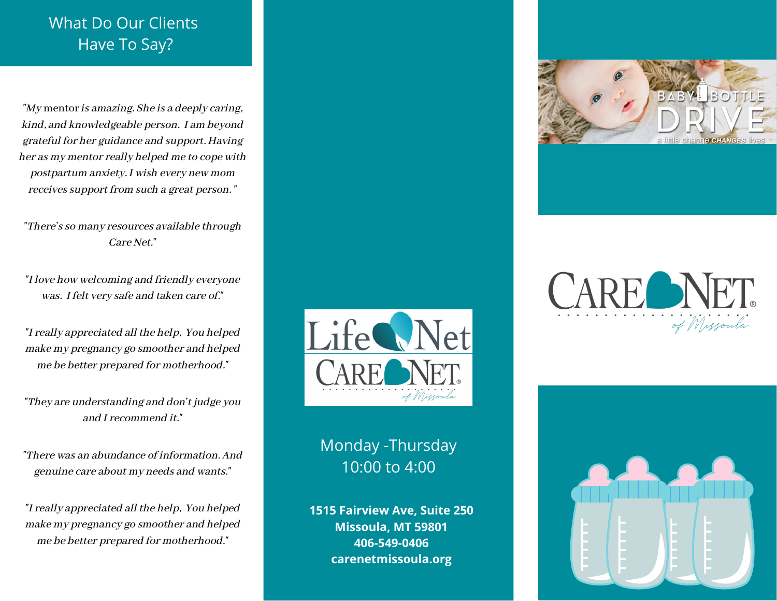## What Do Our Clients Have To Say?

"My mentor is amazing. She is a deeply caring, kind, and knowledgeable person. I am beyond grateful for her guidance and support. Having her as my mentor really helped me to cope with postpartum anxiety. I wish every new mom receives support from such a great person. "

"There's so many resources available through Care Net."

"I love how welcoming and friendly everyone was. I felt very safe and taken care of."

"I really appreciated all the help, You helped make my pregnancy go smoother and helped me be better prepared for motherhood."

"They are understanding and don't judge you and I recommend it."

"There was an abundance of information. And genuine care about my needs and wants."

"I really appreciated all the help, You helped make my pregnancy go smoother and helped me be better prepared for motherhood."



Monday -Thursday 10:00 to 4:00

**1515 Fairview Ave, Suite 250 Missoula, MT 59801 406-549-0406 carenetmissoula.org**